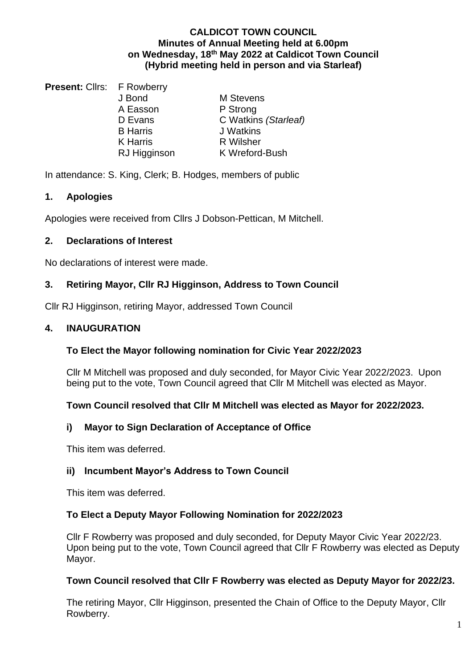### **CALDICOT TOWN COUNCIL Minutes of Annual Meeting held at 6.00pm on Wednesday, 18 th May 2022 at Caldicot Town Council (Hybrid meeting held in person and via Starleaf)**

**Present: Cllrs: F Rowberry** A Easson P Strong<br>
D Evans C Watkin RJ Higginson

J Bond M Stevens C Watkins *(Starleaf)* B Harris J Watkins K Harris **R Wilsher**<br>RJ Higginson **R** K Wreford-Bush

In attendance: S. King, Clerk; B. Hodges, members of public

# **1. Apologies**

Apologies were received from Cllrs J Dobson-Pettican, M Mitchell.

# **2. Declarations of Interest**

No declarations of interest were made.

# **3. Retiring Mayor, Cllr RJ Higginson, Address to Town Council**

Cllr RJ Higginson, retiring Mayor, addressed Town Council

# **4. INAUGURATION**

# **To Elect the Mayor following nomination for Civic Year 2022/2023**

Cllr M Mitchell was proposed and duly seconded, for Mayor Civic Year 2022/2023. Upon being put to the vote, Town Council agreed that Cllr M Mitchell was elected as Mayor.

### **Town Council resolved that Cllr M Mitchell was elected as Mayor for 2022/2023.**

# **i) Mayor to Sign Declaration of Acceptance of Office**

This item was deferred.

# **ii) Incumbent Mayor's Address to Town Council**

This item was deferred.

### **To Elect a Deputy Mayor Following Nomination for 2022/2023**

Cllr F Rowberry was proposed and duly seconded, for Deputy Mayor Civic Year 2022/23. Upon being put to the vote, Town Council agreed that Cllr F Rowberry was elected as Deputy Mayor.

### **Town Council resolved that Cllr F Rowberry was elected as Deputy Mayor for 2022/23.**

The retiring Mayor, Cllr Higginson, presented the Chain of Office to the Deputy Mayor, Cllr Rowberry.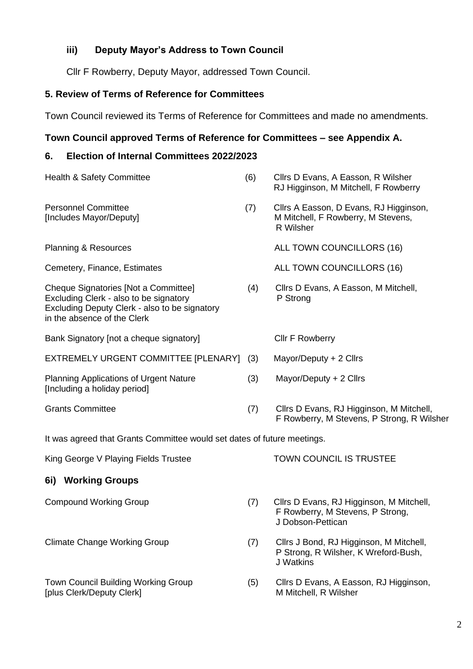# **iii) Deputy Mayor's Address to Town Council**

Cllr F Rowberry, Deputy Mayor, addressed Town Council.

# **5. Review of Terms of Reference for Committees**

Town Council reviewed its Terms of Reference for Committees and made no amendments.

### **Town Council approved Terms of Reference for Committees – see Appendix A.**

### **6. Election of Internal Committees 2022/2023**

| Health & Safety Committee                                                                                                                                      | (6) | Cllrs D Evans, A Easson, R Wilsher<br>RJ Higginson, M Mitchell, F Rowberry                |  |  |
|----------------------------------------------------------------------------------------------------------------------------------------------------------------|-----|-------------------------------------------------------------------------------------------|--|--|
| <b>Personnel Committee</b><br>[Includes Mayor/Deputy]                                                                                                          | (7) | Cllrs A Easson, D Evans, RJ Higginson,<br>M Mitchell, F Rowberry, M Stevens,<br>R Wilsher |  |  |
| <b>Planning &amp; Resources</b>                                                                                                                                |     | ALL TOWN COUNCILLORS (16)                                                                 |  |  |
| Cemetery, Finance, Estimates                                                                                                                                   |     | ALL TOWN COUNCILLORS (16)                                                                 |  |  |
| Cheque Signatories [Not a Committee]<br>Excluding Clerk - also to be signatory<br>Excluding Deputy Clerk - also to be signatory<br>in the absence of the Clerk | (4) | Cllrs D Evans, A Easson, M Mitchell,<br>P Strong                                          |  |  |
| Bank Signatory [not a cheque signatory]                                                                                                                        |     | <b>Cllr F Rowberry</b>                                                                    |  |  |
| EXTREMELY URGENT COMMITTEE [PLENARY] (3)                                                                                                                       |     | Mayor/Deputy + 2 Cllrs                                                                    |  |  |
| <b>Planning Applications of Urgent Nature</b><br>[Including a holiday period]                                                                                  | (3) | Mayor/Deputy + 2 Cllrs                                                                    |  |  |
| <b>Grants Committee</b>                                                                                                                                        | (7) | Cllrs D Evans, RJ Higginson, M Mitchell,<br>F Rowberry, M Stevens, P Strong, R Wilsher    |  |  |
| It was agreed that Grants Committee would set dates of future meetings.                                                                                        |     |                                                                                           |  |  |

King George V Playing Fields Trustee TOWN COUNCIL IS TRUSTEE

#### **6i) Working Groups**

[plus Clerk/Deputy Clerk] M Mitchell, R Wilsher

- Compound Working Group (7) Cllrs D Evans, RJ Higginson, M Mitchell, F Rowberry, M Stevens, P Strong, J Dobson-Pettican
- Climate Change Working Group (7) Cllrs J Bond, RJ Higginson, M Mitchell, P Strong, R Wilsher, K Wreford-Bush, J Watkins
- Town Council Building Working Group (5) Cllrs D Evans, A Easson, RJ Higginson,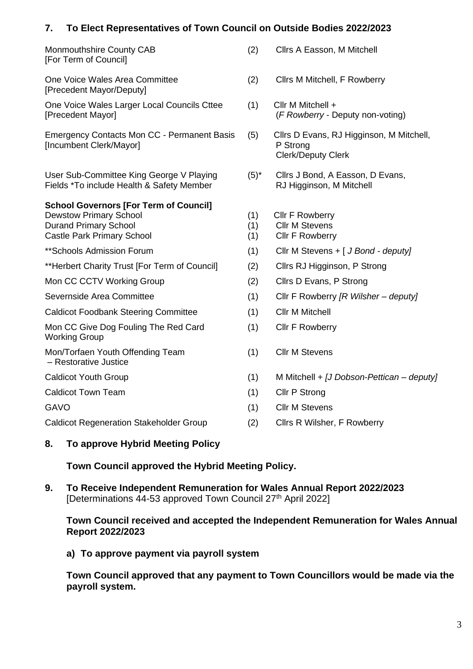# **7. To Elect Representatives of Town Council on Outside Bodies 2022/2023**

| TO LIGAL INGPROSPHERE<br>ו וט טט                                                                                                                    |
|-----------------------------------------------------------------------------------------------------------------------------------------------------|
| Monmouthshire County CAB<br>[For Term of Council]                                                                                                   |
| One Voice Wales Area Committee<br>[Precedent Mayor/Deputy]                                                                                          |
| One Voice Wales Larger Local Councils Cttee<br>[Precedent Mayor]                                                                                    |
| <b>Emergency Contacts Mon CC - Permanent Basis</b><br>[Incumbent Clerk/Mayor]                                                                       |
| User Sub-Committee King George V Playing<br>Fields *To include Health & Safety Member                                                               |
| <b>School Governors [For Term of Council]</b><br><b>Dewstow Primary School</b><br><b>Durand Primary School</b><br><b>Castle Park Primary School</b> |
| **Schools Admission Forum                                                                                                                           |
| **Herbert Charity Trust [For Term of Council]                                                                                                       |
| Mon CC CCTV Working Group                                                                                                                           |
| Severnside Area Committee                                                                                                                           |
| <b>Caldicot Foodbank Steering Committee</b>                                                                                                         |
| Mon CC Give Dog Fouling The Red Card<br><b>Working Group</b>                                                                                        |
| Mon/Torfaen Youth Offending Team<br>- Restorative Justice                                                                                           |
| <b>Caldicot Youth Group</b>                                                                                                                         |
| <b>Caldicot Town Team</b>                                                                                                                           |
| <b>GAVO</b>                                                                                                                                         |
|                                                                                                                                                     |

(2) Cllrs A Easson, M Mitchell

- (2) Cllrs M Mitchell, F Rowberry
- $(1)$  Cllr M Mitchell + (*F Rowberry* - Deputy non-voting)
- (5) Cllrs D Evans, RJ Higginson, M Mitchell, P Strong Clerk/Deputy Clerk
- $(5)^*$  Cllrs J Bond, A Easson, D Evans, RJ Higginson, M Mitchell
- $(1)$  Cllr F Rowberry
- (1) Cllr M Stevens
- $(1)$  Cllr F Rowberry
- (1) Cllr M Stevens + [ *J Bond deputy]*
- (2) Cllrs RJ Higginson, P Strong
- $(2)$  Cllrs D Evans, P Strong
- Severnside Area Committee (1) Cllr F Rowberry *[R Wilsher – deputy]*
- (1) Cllr M Mitchell
- $(1)$  Cllr F Rowberry
- (1) Cllr M Stevens
- Caldicot Youth Group (1) M Mitchell + *[J Dobson-Pettican – deputy]*
- $(1)$  Cllr P Strong
- (1) Cllr M Stevens
- Caldicot Regeneration Stakeholder Group (2) Cllrs R Wilsher, F Rowberry

### **8. To approve Hybrid Meeting Policy**

### **Town Council approved the Hybrid Meeting Policy.**

**9. To Receive Independent Remuneration for Wales Annual Report 2022/2023** [Determinations 44-53 approved Town Council 27<sup>th</sup> April 2022]

#### **Town Council received and accepted the Independent Remuneration for Wales Annual Report 2022/2023**

**a) To approve payment via payroll system**

**Town Council approved that any payment to Town Councillors would be made via the payroll system.**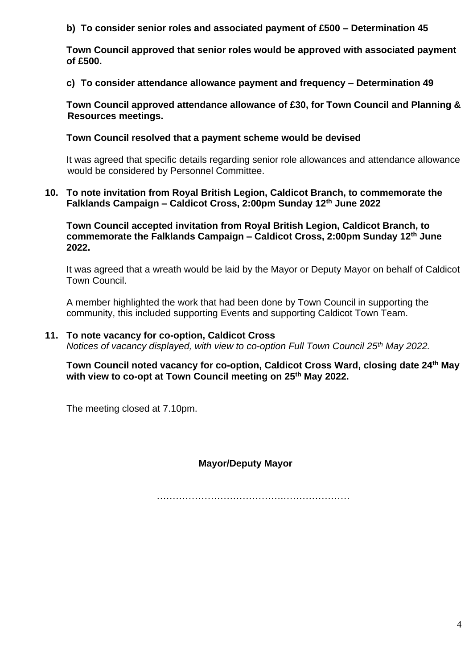**b) To consider senior roles and associated payment of £500 – Determination 45**

**Town Council approved that senior roles would be approved with associated payment of £500.** 

**c) To consider attendance allowance payment and frequency – Determination 49**

**Town Council approved attendance allowance of £30, for Town Council and Planning & Resources meetings.** 

### **Town Council resolved that a payment scheme would be devised**

It was agreed that specific details regarding senior role allowances and attendance allowance would be considered by Personnel Committee.

### **10. To note invitation from Royal British Legion, Caldicot Branch, to commemorate the Falklands Campaign – Caldicot Cross, 2:00pm Sunday 12th June 2022**

**Town Council accepted invitation from Royal British Legion, Caldicot Branch, to commemorate the Falklands Campaign – Caldicot Cross, 2:00pm Sunday 12th June 2022.** 

It was agreed that a wreath would be laid by the Mayor or Deputy Mayor on behalf of Caldicot Town Council.

A member highlighted the work that had been done by Town Council in supporting the community, this included supporting Events and supporting Caldicot Town Team.

### **11. To note vacancy for co-option, Caldicot Cross**

*Notices of vacancy displayed, with view to co-option Full Town Council 25th May 2022.*

**Town Council noted vacancy for co-option, Caldicot Cross Ward, closing date 24th May with view to co-opt at Town Council meeting on 25th May 2022.**

The meeting closed at 7.10pm.

**Mayor/Deputy Mayor**

………………………………….…………………